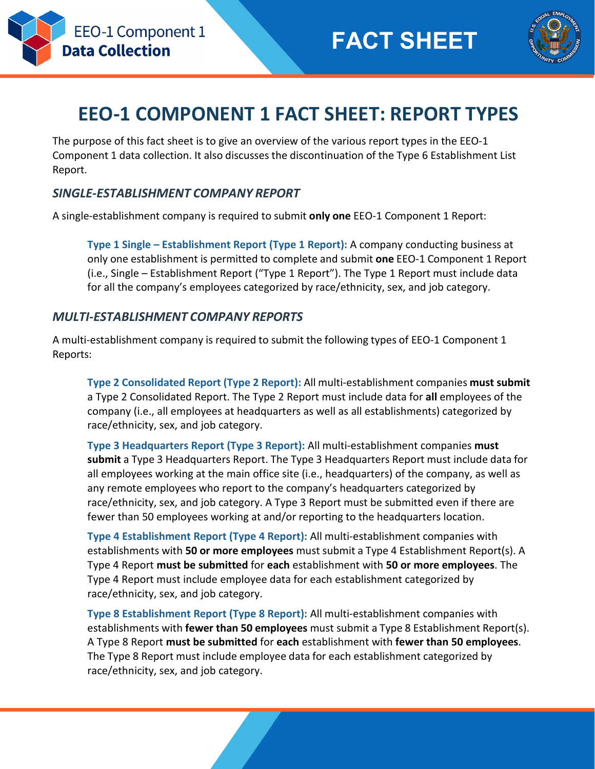



## **EEO-1 COMPONENT 1 FACT SHEET: REPORT TYPES**

The purpose of this fact sheet is to give an overview of the various report types in the EEO-1 Component 1 data collection. It also discusses the discontinuation of the Type 6 Establishment List Report.

## *SINGLE-ESTABLISHMENT COMPANY REPORT*

A single-establishment company is required to submit **only one** EEO-1 Component 1 Report:

**Type 1 Single – Establishment Report (Type 1 Report):** A company conducting business at only one establishment is permitted to complete and submit **one** EEO-1 Component 1 Report (i.e., Single – Establishment Report ("Type 1 Report"). The Type 1 Report must include data for all the company's employees categorized by race/ethnicity, sex, and job category.

## *MULTI-ESTABLISHMENT COMPANY REPORTS*

A multi-establishment company is required to submit the following types of EEO-1 Component 1 Reports:

**Type 2 Consolidated Report (Type 2 Report):** All multi-establishment companies **must submit**  a Type 2 Consolidated Report. The Type 2 Report must include data for **all** employees of the company (i.e., all employees at headquarters as well as all establishments) categorized by race/ethnicity, sex, and job category.

**Type 3 Headquarters Report (Type 3 Report):** All multi-establishment companies **must submit** a Type 3 Headquarters Report. The Type 3 Headquarters Report must include data for all employees working at the main office site (i.e., headquarters) of the company, as well as any remote employees who report to the company's headquarters categorized by race/ethnicity, sex, and job category. A Type 3 Report must be submitted even if there are fewer than 50 employees working at and/or reporting to the headquarters location.

**Type 4 Establishment Report (Type 4 Report):** All multi-establishment companies with establishments with **50 or more employees** must submit a Type 4 Establishment Report(s). A Type 4 Report **must be submitted** for **each** establishment with **50 or more employees**. The Type 4 Report must include employee data for each establishment categorized by race/ethnicity, sex, and job category.

**Type 8 Establishment Report (Type 8 Report):** All multi-establishment companies with establishments with **fewer than 50 employees** must submit a Type 8 Establishment Report(s). A Type 8 Report **must be submitted** for **each** establishment with **fewer than 50 employees**. The Type 8 Report must include employee data for each establishment categorized by race/ethnicity, sex, and job category.